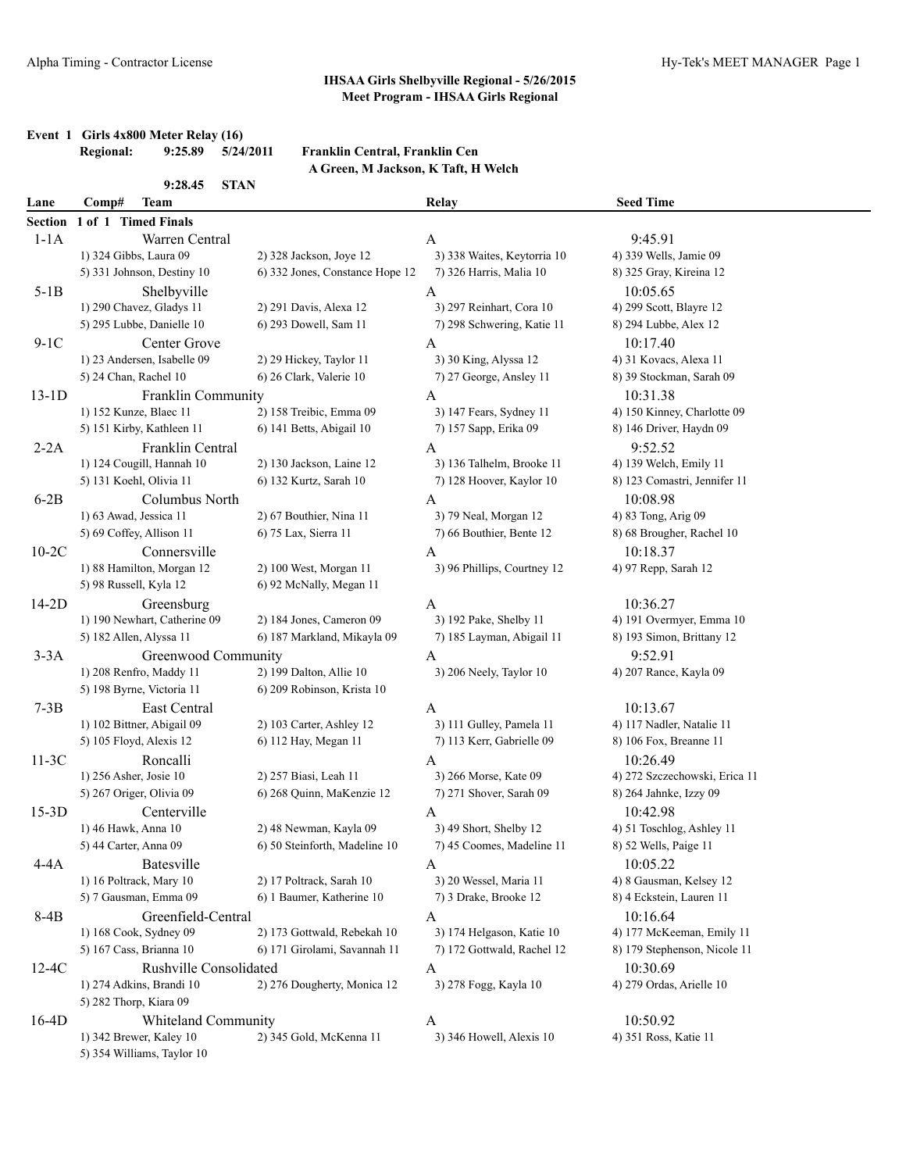# **Event 1 Girls 4x800 Meter Relay (16)**<br>Regional: 9:25.89 5/24/2011

#### **Regional: 9:25.89 5/24/2011 Franklin Central, Franklin Cen A Green, M Jackson, K Taft, H Welch**

|                | 9:28.45<br><b>STAN</b>        |                                 |                             |                               |
|----------------|-------------------------------|---------------------------------|-----------------------------|-------------------------------|
| Lane           | Comp#<br><b>Team</b>          |                                 | Relay                       | <b>Seed Time</b>              |
| <b>Section</b> | 1 of 1 Timed Finals           |                                 |                             |                               |
| $1-1A$         | Warren Central                |                                 | $\mathbf{A}$                | 9:45.91                       |
|                | 1) 324 Gibbs, Laura 09        | 2) 328 Jackson, Joye 12         | 3) 338 Waites, Keytorria 10 | 4) 339 Wells, Jamie 09        |
|                | 5) 331 Johnson, Destiny 10    | 6) 332 Jones, Constance Hope 12 | 7) 326 Harris, Malia 10     | 8) 325 Gray, Kireina 12       |
| $5-1B$         | Shelbyville                   |                                 | A                           | 10:05.65                      |
|                | 1) 290 Chavez, Gladys 11      | 2) 291 Davis, Alexa 12          | 3) 297 Reinhart, Cora 10    | 4) 299 Scott, Blayre 12       |
|                | 5) 295 Lubbe, Danielle 10     | 6) 293 Dowell, Sam 11           | 7) 298 Schwering, Katie 11  | 8) 294 Lubbe, Alex 12         |
| $9-1C$         | Center Grove                  |                                 | A                           | 10:17.40                      |
|                | 1) 23 Andersen, Isabelle 09   | 2) 29 Hickey, Taylor 11         | 3) 30 King, Alyssa 12       | 4) 31 Kovacs, Alexa 11        |
|                | 5) 24 Chan, Rachel 10         | 6) 26 Clark, Valerie 10         | 7) 27 George, Ansley 11     | 8) 39 Stockman, Sarah 09      |
| $13-1D$        | Franklin Community            |                                 | A                           | 10:31.38                      |
|                | 1) 152 Kunze, Blaec 11        | 2) 158 Treibic, Emma 09         | 3) 147 Fears, Sydney 11     | 4) 150 Kinney, Charlotte 09   |
|                | 5) 151 Kirby, Kathleen 11     | 6) 141 Betts, Abigail 10        | 7) 157 Sapp, Erika 09       | 8) 146 Driver, Haydn 09       |
| $2-2A$         | Franklin Central              |                                 | A                           | 9:52.52                       |
|                | 1) 124 Cougill, Hannah 10     | 2) 130 Jackson, Laine 12        | 3) 136 Talhelm, Brooke 11   | 4) 139 Welch, Emily 11        |
|                | 5) 131 Koehl, Olivia 11       | 6) 132 Kurtz, Sarah 10          | 7) 128 Hoover, Kaylor 10    | 8) 123 Comastri, Jennifer 11  |
| $6-2B$         | Columbus North                |                                 | A                           | 10:08.98                      |
|                | 1) 63 Awad, Jessica 11        | 2) 67 Bouthier, Nina 11         | 3) 79 Neal, Morgan 12       | 4) 83 Tong, Arig 09           |
|                | 5) 69 Coffey, Allison 11      | 6) 75 Lax, Sierra 11            | 7) 66 Bouthier, Bente 12    | 8) 68 Brougher, Rachel 10     |
| $10-2C$        | Connersville                  |                                 | A                           | 10:18.37                      |
|                | 1) 88 Hamilton, Morgan 12     | 2) 100 West, Morgan 11          | 3) 96 Phillips, Courtney 12 | 4) 97 Repp, Sarah 12          |
|                | 5) 98 Russell, Kyla 12        | 6) 92 McNally, Megan 11         |                             |                               |
| $14-2D$        | Greensburg                    |                                 | A                           | 10:36.27                      |
|                | 1) 190 Newhart, Catherine 09  | 2) 184 Jones, Cameron 09        | 3) 192 Pake, Shelby 11      | 4) 191 Overmyer, Emma 10      |
|                | 5) 182 Allen, Alyssa 11       | 6) 187 Markland, Mikayla 09     | 7) 185 Layman, Abigail 11   | 8) 193 Simon, Brittany 12     |
| $3-3A$         | Greenwood Community           |                                 | A                           | 9:52.91                       |
|                | 1) 208 Renfro, Maddy 11       | 2) 199 Dalton, Allie 10         | 3) 206 Neely, Taylor 10     | 4) 207 Rance, Kayla 09        |
|                | 5) 198 Byrne, Victoria 11     | 6) 209 Robinson, Krista 10      |                             |                               |
| $7-3B$         | East Central                  |                                 | A                           | 10:13.67                      |
|                | 1) 102 Bittner, Abigail 09    | 2) 103 Carter, Ashley 12        | 3) 111 Gulley, Pamela 11    | 4) 117 Nadler, Natalie 11     |
|                | 5) 105 Floyd, Alexis 12       | 6) 112 Hay, Megan 11            | 7) 113 Kerr, Gabrielle 09   | 8) 106 Fox, Breanne 11        |
| $11-3C$        | Roncalli                      |                                 | A                           | 10:26.49                      |
|                | 1) 256 Asher, Josie 10        | 2) 257 Biasi, Leah 11           | 3) 266 Morse, Kate 09       | 4) 272 Szczechowski, Erica 11 |
|                | 5) 267 Origer, Olivia 09      | 6) 268 Quinn, MaKenzie 12       | 7) 271 Shover, Sarah 09     | 8) 264 Jahnke, Izzy 09        |
| $15-3D$        | Centerville                   |                                 | A                           | 10:42.98                      |
|                | 1) 46 Hawk, Anna 10           | 2) 48 Newman, Kayla 09          | 3) 49 Short, Shelby 12      | 4) 51 Toschlog, Ashley 11     |
|                | 5) 44 Carter, Anna 09         | 6) 50 Steinforth, Madeline 10   | 7) 45 Coomes, Madeline 11   | 8) 52 Wells, Paige 11         |
| $4-4A$         | <b>Batesville</b>             |                                 | A                           | 10:05.22                      |
|                | 1) 16 Poltrack, Mary 10       | 2) 17 Poltrack, Sarah 10        | 3) 20 Wessel, Maria 11      | 4) 8 Gausman, Kelsey 12       |
|                | 5) 7 Gausman, Emma 09         | 6) 1 Baumer, Katherine 10       | 7) 3 Drake, Brooke 12       | 8) 4 Eckstein, Lauren 11      |
| 8-4B           | Greenfield-Central            |                                 | A                           | 10:16.64                      |
|                | 1) 168 Cook, Sydney 09        | 2) 173 Gottwald, Rebekah 10     | 3) 174 Helgason, Katie 10   | 4) 177 McKeeman, Emily 11     |
|                | 5) 167 Cass, Brianna 10       | 6) 171 Girolami, Savannah 11    | 7) 172 Gottwald, Rachel 12  | 8) 179 Stephenson, Nicole 11  |
| $12-4C$        | <b>Rushville Consolidated</b> |                                 | A                           | 10:30.69                      |
|                | 1) 274 Adkins, Brandi 10      | 2) 276 Dougherty, Monica 12     | 3) 278 Fogg, Kayla 10       | 4) 279 Ordas, Arielle 10      |
|                | 5) 282 Thorp, Kiara 09        |                                 |                             |                               |
| $16-4D$        | Whiteland Community           |                                 | A                           | 10:50.92                      |
|                | 1) 342 Brewer, Kaley 10       | 2) 345 Gold, McKenna 11         | 3) 346 Howell, Alexis 10    | 4) 351 Ross, Katie 11         |
|                | 5) 354 Williams, Taylor 10    |                                 |                             |                               |
|                |                               |                                 |                             |                               |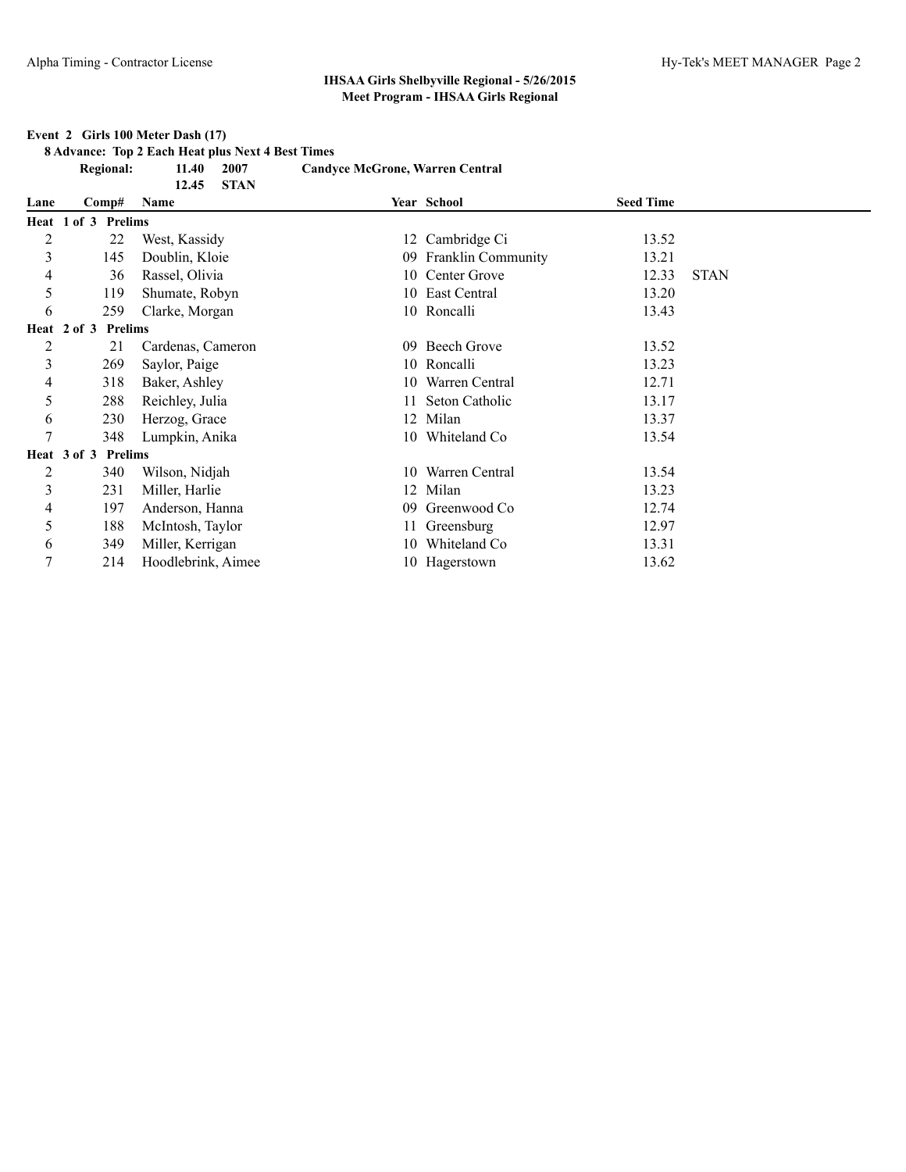#### **Event 2 Girls 100 Meter Dash (17)**

**8 Advance: Top 2 Each Heat plus Next 4 Best Times**

|                | <b>Regional:</b>       | 2007<br>11.40<br><b>STAN</b><br>12.45 | <b>Candyce McGrone, Warren Central</b> |                       |                  |             |
|----------------|------------------------|---------------------------------------|----------------------------------------|-----------------------|------------------|-------------|
| Lane           | Comp#                  | Name                                  |                                        | Year School           | <b>Seed Time</b> |             |
|                | Heat 1 of 3 Prelims    |                                       |                                        |                       |                  |             |
| $\overline{c}$ | 22                     | West, Kassidy                         |                                        | 12 Cambridge Ci       | 13.52            |             |
| 3              | 145                    | Doublin, Kloie                        |                                        | 09 Franklin Community | 13.21            |             |
| 4              | 36                     | Rassel, Olivia                        |                                        | 10 Center Grove       | 12.33            | <b>STAN</b> |
| 5              | 119                    | Shumate, Robyn                        | 10                                     | East Central          | 13.20            |             |
| 6              | 259                    | Clarke, Morgan                        |                                        | 10 Roncalli           | 13.43            |             |
|                | Prelims<br>Heat 2 of 3 |                                       |                                        |                       |                  |             |
| $\overline{c}$ | 21                     | Cardenas, Cameron                     | 09                                     | Beech Grove           | 13.52            |             |
| 3              | 269                    | Saylor, Paige                         |                                        | 10 Roncalli           | 13.23            |             |
| 4              | 318                    | Baker, Ashley                         | 10.                                    | Warren Central        | 12.71            |             |
| 5              | 288                    | Reichley, Julia                       | 11                                     | Seton Catholic        | 13.17            |             |
| 6              | 230                    | Herzog, Grace                         | 12                                     | Milan                 | 13.37            |             |
| 7              | 348                    | Lumpkin, Anika                        |                                        | 10 Whiteland Co       | 13.54            |             |
|                | Heat 3 of 3 Prelims    |                                       |                                        |                       |                  |             |
| $\overline{c}$ | 340                    | Wilson, Nidjah                        | 10                                     | Warren Central        | 13.54            |             |
| 3              | 231                    | Miller, Harlie                        | 12                                     | Milan                 | 13.23            |             |
| 4              | 197                    | Anderson, Hanna                       | 09                                     | Greenwood Co          | 12.74            |             |
| 5              | 188                    | McIntosh, Taylor                      |                                        | Greensburg            | 12.97            |             |
| 6              | 349                    | Miller, Kerrigan                      | 10                                     | Whiteland Co          | 13.31            |             |
| $\overline{7}$ | 214                    | Hoodlebrink, Aimee                    |                                        | 10 Hagerstown         | 13.62            |             |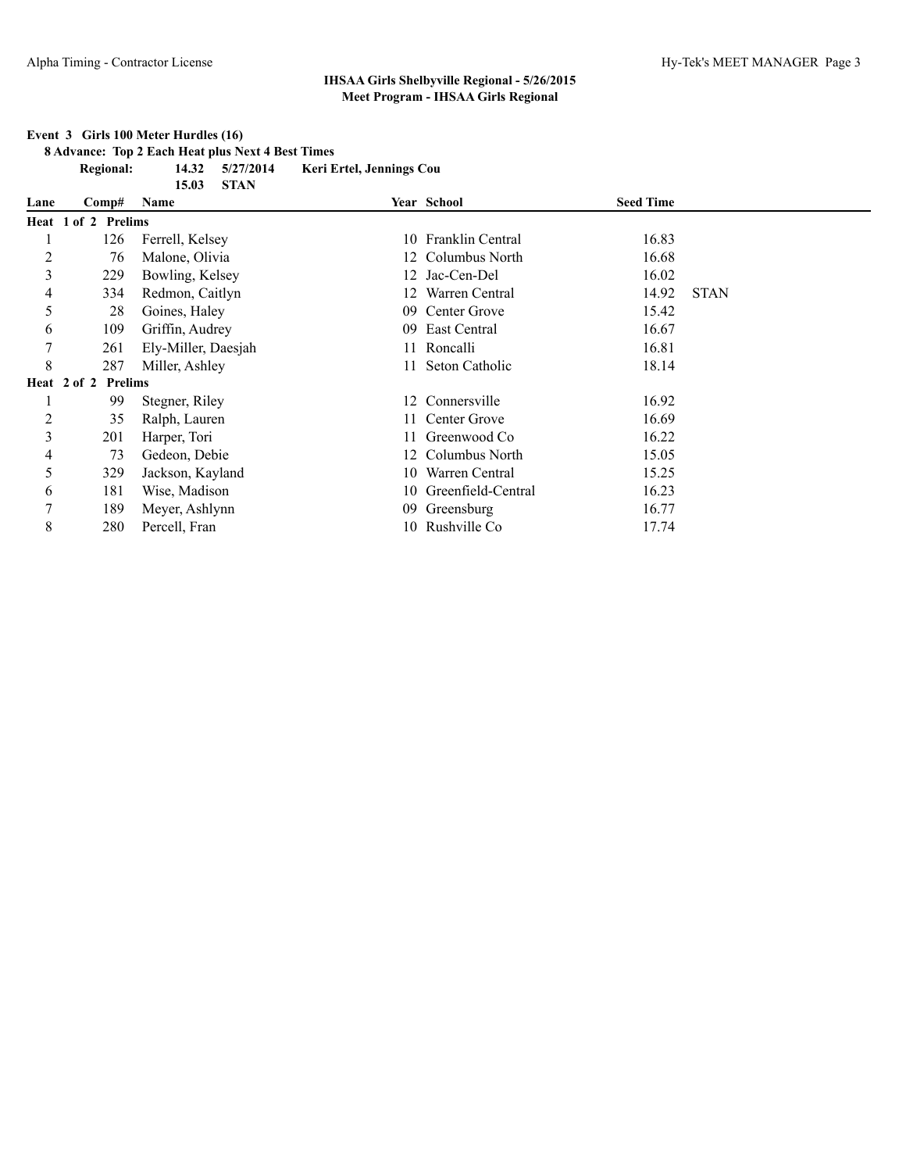#### **Regional: 14.32 5/27/2014 Keri Ertel, Jennings Cou 15.03 STAN Lane Comp# Name Year School Seed Time Heat 1 of 2 Prelims** 1 126 Ferrell, Kelsey 10 Franklin Central 16.83 2 76 Malone, Olivia 12 Columbus North 16.68 3 229 Bowling, Kelsey 12 Jac-Cen-Del 16.02 4 334 Redmon, Caitlyn 12 Warren Central 14.92 STAN 5 28 Goines, Haley 09 Center Grove 15.42 6 109 Griffin, Audrey 09 East Central 16.67 7 261 Ely-Miller, Daesjah 11 Roncalli 16.81 8 287 Miller, Ashley 11 Seton Catholic 18.14 **Heat 2 of 2 Prelims** 1 99 Stegner, Riley 12 Connersville 16.92 2 35 Ralph, Lauren 11 Center Grove 16.69 3 201 Harper, Tori 11 Greenwood Co 16.22 4 73 Gedeon, Debie 12 Columbus North 15.05 5 329 Jackson, Kayland 10 Warren Central 15.25 6 181 Wise, Madison 10 Greenfield-Central 16.23 7 189 Meyer, Ashlynn 09 Greensburg 16.77 8 280 Percell, Fran 10 Rushville Co 17.74

#### **Event 3 Girls 100 Meter Hurdles (16)**

**8 Advance: Top 2 Each Heat plus Next 4 Best Times**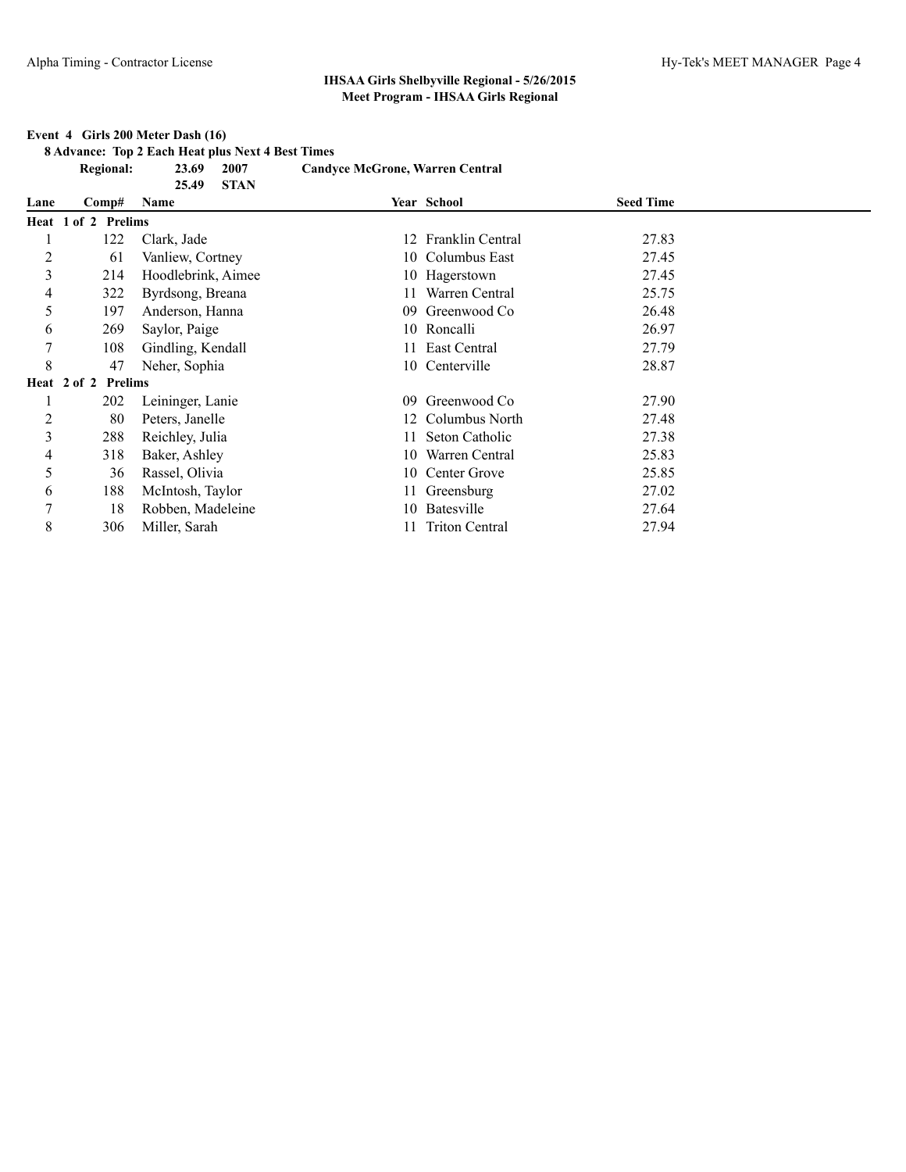#### **Event 4 Girls 200 Meter Dash (16)**

**8 Advance: Top 2 Each Heat plus Next 4 Best Times**

|                | <b>Regional:</b>    | 2007<br>23.69<br>25.49<br><b>STAN</b> | <b>Candyce McGrone, Warren Central</b> |                         |                  |  |
|----------------|---------------------|---------------------------------------|----------------------------------------|-------------------------|------------------|--|
| Lane           | Comp#               | Name                                  |                                        | Year School             | <b>Seed Time</b> |  |
|                | Heat 1 of 2 Prelims |                                       |                                        |                         |                  |  |
|                | 122                 | Clark, Jade                           | 12.                                    | <b>Franklin Central</b> | 27.83            |  |
| $\overline{c}$ | 61                  | Vanliew, Cortney                      |                                        | 10 Columbus East        | 27.45            |  |
| 3              | 214                 | Hoodlebrink, Aimee                    |                                        | 10 Hagerstown           | 27.45            |  |
| 4              | 322                 | Byrdsong, Breana                      |                                        | Warren Central          | 25.75            |  |
| 5              | 197                 | Anderson, Hanna                       | 09                                     | Greenwood Co            | 26.48            |  |
| 6              | 269                 | Saylor, Paige                         |                                        | 10 Roncalli             | 26.97            |  |
| 7              | 108                 | Gindling, Kendall                     |                                        | East Central            | 27.79            |  |
| 8              | 47                  | Neher, Sophia                         |                                        | 10 Centerville          | 28.87            |  |
|                | Heat 2 of 2 Prelims |                                       |                                        |                         |                  |  |
|                | 202                 | Leininger, Lanie                      | 09                                     | Greenwood Co            | 27.90            |  |
| $\overline{c}$ | 80                  | Peters, Janelle                       | 12                                     | Columbus North          | 27.48            |  |
| 3              | 288                 | Reichley, Julia                       | 11.                                    | Seton Catholic          | 27.38            |  |
| 4              | 318                 | Baker, Ashley                         | 10                                     | Warren Central          | 25.83            |  |
| 5              | 36                  | Rassel, Olivia                        |                                        | 10 Center Grove         | 25.85            |  |
| 6              | 188                 | McIntosh, Taylor                      |                                        | 11 Greensburg           | 27.02            |  |
| 7              | 18                  | Robben, Madeleine                     | 10-                                    | Batesville              | 27.64            |  |
| 8              | 306                 | Miller, Sarah                         |                                        | 11 Triton Central       | 27.94            |  |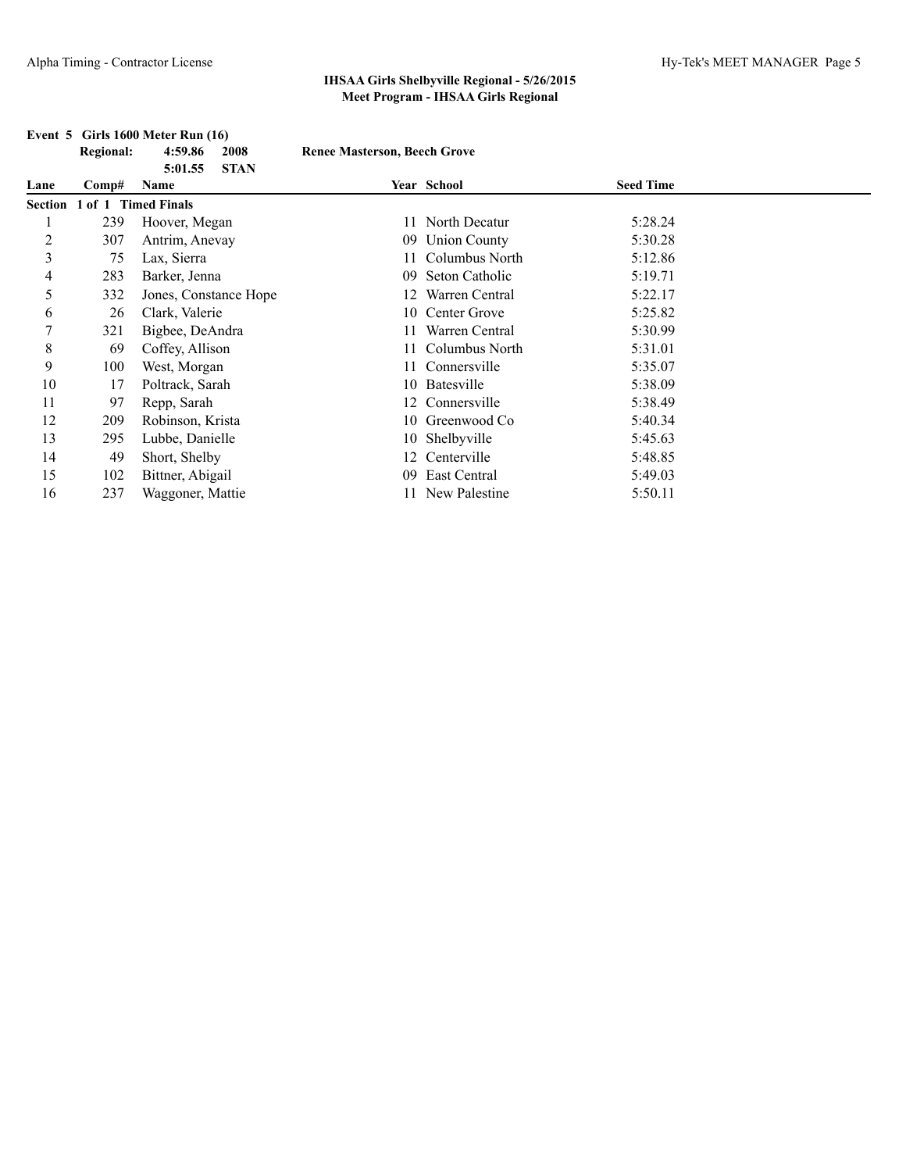|                | <b>Regional:</b>            | 4:59.86<br>2008                | <b>Renee Masterson, Beech Grove</b> |                 |                  |  |
|----------------|-----------------------------|--------------------------------|-------------------------------------|-----------------|------------------|--|
| Lane           | $\bf Comp\#$                | <b>STAN</b><br>5:01.55<br>Name |                                     | Year School     | <b>Seed Time</b> |  |
|                | Section 1 of 1 Timed Finals |                                |                                     |                 |                  |  |
|                | 239                         | Hoover, Megan                  | 11                                  | North Decatur   | 5:28.24          |  |
| $\overline{2}$ | 307                         | Antrim, Anevay                 |                                     | 09 Union County | 5:30.28          |  |
| 3              | 75                          | Lax, Sierra                    |                                     | Columbus North  | 5:12.86          |  |
| 4              | 283                         | Barker, Jenna                  | 09.                                 | Seton Catholic  | 5:19.71          |  |
| 5              | 332                         | Jones, Constance Hope          | 12                                  | Warren Central  | 5:22.17          |  |
| 6              | 26                          | Clark, Valerie                 |                                     | 10 Center Grove | 5:25.82          |  |
| 7              | 321                         | Bigbee, DeAndra                |                                     | Warren Central  | 5:30.99          |  |
| 8              | 69                          | Coffey, Allison                |                                     | Columbus North  | 5:31.01          |  |
| 9              | 100                         | West, Morgan                   | 11.                                 | Connersville    | 5:35.07          |  |
| 10             | 17                          | Poltrack, Sarah                |                                     | 10 Batesville   | 5:38.09          |  |
| 11             | 97                          | Repp, Sarah                    |                                     | 12 Connersville | 5:38.49          |  |
| 12             | 209                         | Robinson, Krista               |                                     | 10 Greenwood Co | 5:40.34          |  |
| 13             | 295                         | Lubbe, Danielle                |                                     | 10 Shelbyville  | 5:45.63          |  |
| 14             | 49                          | Short, Shelby                  |                                     | 12 Centerville  | 5:48.85          |  |
| 15             | 102                         | Bittner, Abigail               | 09                                  | East Central    | 5:49.03          |  |
| 16             | 237                         | Waggoner, Mattie               |                                     | New Palestine   | 5:50.11          |  |

#### **Event 5 Girls 1600 Meter Run (16)**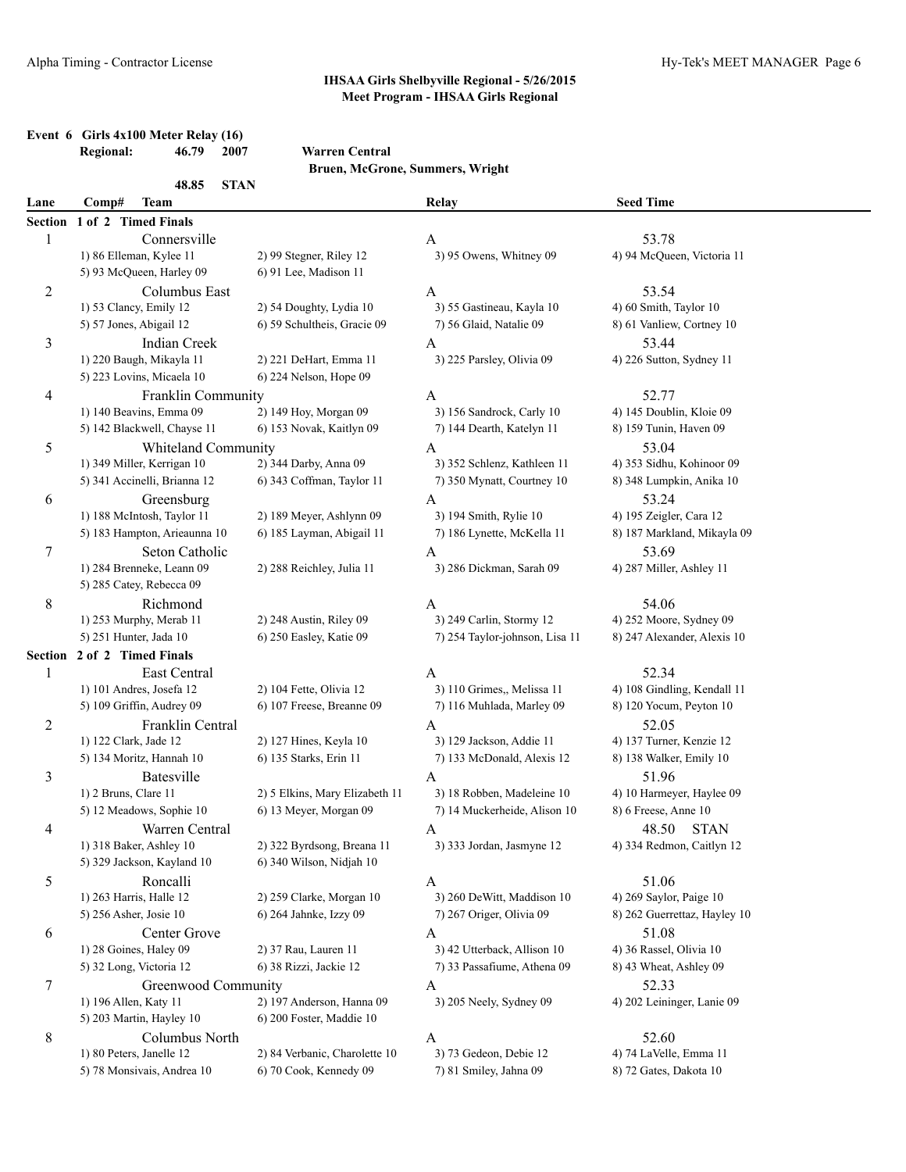# **Event 6 Girls 4x100 Meter Relay (16)**<br>Regional: 46.79 2007

## **Regional: 46.79 2007 Warren Central**

**Bruen, McGrone, Summers, Wright**

|                | 48.85<br><b>STAN</b>         |                                |                                |                              |  |
|----------------|------------------------------|--------------------------------|--------------------------------|------------------------------|--|
| Lane           | Comp#<br><b>Team</b>         |                                | Relay                          | <b>Seed Time</b>             |  |
|                | Section 1 of 2 Timed Finals  |                                |                                |                              |  |
| 1              | Connersville                 |                                | A                              | 53.78                        |  |
|                | 1) 86 Elleman, Kylee 11      | 2) 99 Stegner, Riley 12        | 3) 95 Owens, Whitney 09        | 4) 94 McQueen, Victoria 11   |  |
|                | 5) 93 McQueen, Harley 09     | 6) 91 Lee, Madison 11          |                                |                              |  |
| 2              | Columbus East                |                                | A                              | 53.54                        |  |
|                | 1) 53 Clancy, Emily 12       | 2) 54 Doughty, Lydia 10        | 3) 55 Gastineau, Kayla 10      | 4) 60 Smith, Taylor 10       |  |
|                | 5) 57 Jones, Abigail 12      | 6) 59 Schultheis, Gracie 09    | 7) 56 Glaid, Natalie 09        | 8) 61 Vanliew, Cortney 10    |  |
| 3              | <b>Indian Creek</b>          |                                | A                              | 53.44                        |  |
|                | 1) 220 Baugh, Mikayla 11     | 2) 221 DeHart, Emma 11         | 3) 225 Parsley, Olivia 09      | 4) 226 Sutton, Sydney 11     |  |
|                | 5) 223 Lovins, Micaela 10    | 6) 224 Nelson, Hope 09         |                                |                              |  |
| 4              | Franklin Community           |                                | A                              | 52.77                        |  |
|                | 1) 140 Beavins, Emma 09      | 2) 149 Hoy, Morgan 09          | 3) 156 Sandrock, Carly 10      | 4) 145 Doublin, Kloie 09     |  |
|                | 5) 142 Blackwell, Chayse 11  | 6) 153 Novak, Kaitlyn 09       | 7) 144 Dearth, Katelyn 11      | 8) 159 Tunin, Haven 09       |  |
| 5              | Whiteland Community          |                                | A                              | 53.04                        |  |
|                | 1) 349 Miller, Kerrigan 10   | 2) 344 Darby, Anna 09          | 3) 352 Schlenz, Kathleen 11    | 4) 353 Sidhu, Kohinoor 09    |  |
|                | 5) 341 Accinelli, Brianna 12 | 6) 343 Coffman, Taylor 11      | 7) 350 Mynatt, Courtney 10     | 8) 348 Lumpkin, Anika 10     |  |
| 6              | Greensburg                   |                                | A                              | 53.24                        |  |
|                | 1) 188 McIntosh, Taylor 11   | 2) 189 Meyer, Ashlynn 09       | 3) 194 Smith, Rylie 10         | 4) 195 Zeigler, Cara 12      |  |
|                | 5) 183 Hampton, Arieaunna 10 | 6) 185 Layman, Abigail 11      | 7) 186 Lynette, McKella 11     | 8) 187 Markland, Mikayla 09  |  |
| 7              | Seton Catholic               |                                | A                              | 53.69                        |  |
|                | 1) 284 Brenneke, Leann 09    | 2) 288 Reichley, Julia 11      | 3) 286 Dickman, Sarah 09       | 4) 287 Miller, Ashley 11     |  |
|                | 5) 285 Catey, Rebecca 09     |                                |                                |                              |  |
| 8              | Richmond                     |                                | A                              | 54.06                        |  |
|                | 1) 253 Murphy, Merab 11      | 2) 248 Austin, Riley 09        | 3) 249 Carlin, Stormy 12       | 4) 252 Moore, Sydney 09      |  |
|                | 5) 251 Hunter, Jada 10       | 6) 250 Easley, Katie 09        | 7) 254 Taylor-johnson, Lisa 11 | 8) 247 Alexander, Alexis 10  |  |
|                | Section 2 of 2 Timed Finals  |                                |                                |                              |  |
| 1              | East Central                 |                                | A                              | 52.34                        |  |
|                | 1) 101 Andres, Josefa 12     | 2) 104 Fette, Olivia 12        | 3) 110 Grimes,, Melissa 11     | 4) 108 Gindling, Kendall 11  |  |
|                | 5) 109 Griffin, Audrey 09    | 6) 107 Freese, Breanne 09      | 7) 116 Muhlada, Marley 09      | 8) 120 Yocum, Peyton 10      |  |
| 2              | Franklin Central             |                                | A                              | 52.05                        |  |
|                | 1) 122 Clark, Jade 12        | 2) 127 Hines, Keyla 10         | 3) 129 Jackson, Addie 11       | 4) 137 Turner, Kenzie 12     |  |
|                | 5) 134 Moritz, Hannah 10     | 6) 135 Starks, Erin 11         | 7) 133 McDonald, Alexis 12     | 8) 138 Walker, Emily 10      |  |
| 3              | Batesville                   |                                | A                              | 51.96                        |  |
|                | 1) 2 Bruns, Clare 11         | 2) 5 Elkins, Mary Elizabeth 11 | 3) 18 Robben, Madeleine 10     | 4) 10 Harmeyer, Haylee 09    |  |
|                | 5) 12 Meadows, Sophie 10     | 6) 13 Meyer, Morgan 09         | 7) 14 Muckerheide, Alison 10   | 8) 6 Freese, Anne 10         |  |
| 4              | Warren Central               |                                | A                              | 48.50<br><b>STAN</b>         |  |
|                | 1) 318 Baker, Ashley 10      | 2) 322 Byrdsong, Breana 11     | 3) 333 Jordan, Jasmyne 12      | 4) 334 Redmon, Caitlyn 12    |  |
|                | 5) 329 Jackson, Kayland 10   | 6) 340 Wilson, Nidjah 10       |                                |                              |  |
| 5              | Roncalli                     |                                | A                              | 51.06                        |  |
|                | 1) 263 Harris, Halle 12      | 2) 259 Clarke, Morgan 10       | 3) 260 DeWitt, Maddison 10     | 4) 269 Saylor, Paige 10      |  |
|                | 5) 256 Asher, Josie 10       | 6) 264 Jahnke, Izzy 09         | 7) 267 Origer, Olivia 09       | 8) 262 Guerrettaz, Hayley 10 |  |
| 6              | Center Grove                 |                                | A                              | 51.08                        |  |
|                | 1) 28 Goines, Haley 09       | 2) 37 Rau, Lauren 11           | 3) 42 Utterback, Allison 10    | 4) 36 Rassel, Olivia 10      |  |
|                | 5) 32 Long, Victoria 12      | 6) 38 Rizzi, Jackie 12         | 7) 33 Passafiume, Athena 09    | 8) 43 Wheat, Ashley 09       |  |
| $\overline{7}$ | Greenwood Community          |                                | A                              | 52.33                        |  |
|                | 1) 196 Allen, Katy 11        | 2) 197 Anderson, Hanna 09      | 3) 205 Neely, Sydney 09        | 4) 202 Leininger, Lanie 09   |  |
|                | 5) 203 Martin, Hayley 10     | 6) 200 Foster, Maddie 10       |                                |                              |  |
| 8              | Columbus North               |                                | A                              | 52.60                        |  |
|                | 1) 80 Peters, Janelle 12     | 2) 84 Verbanic, Charolette 10  | 3) 73 Gedeon, Debie 12         | 4) 74 LaVelle, Emma 11       |  |
|                | 5) 78 Monsivais, Andrea 10   | 6) 70 Cook, Kennedy 09         | 7) 81 Smiley, Jahna 09         | 8) 72 Gates, Dakota 10       |  |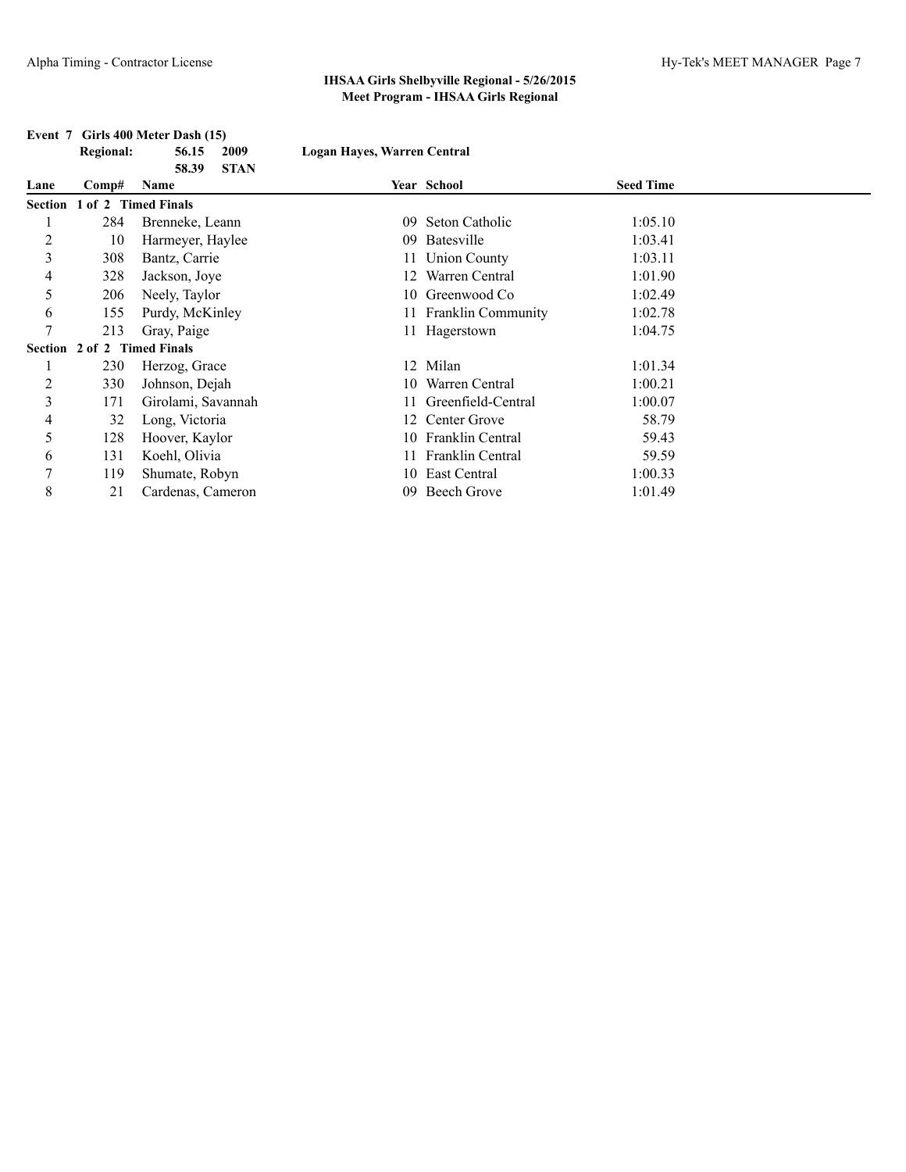**Regional: 56.15 2009 Logan Hayes, Warren Central**

# **Event 7 Girls 400 Meter Dash (15)**

|      |                             | <b>STAN</b><br>58.39 |    |                       |                  |  |
|------|-----------------------------|----------------------|----|-----------------------|------------------|--|
| Lane | Comp#                       | Name                 |    | Year School           | <b>Seed Time</b> |  |
|      | Section 1 of 2 Timed Finals |                      |    |                       |                  |  |
|      | 284                         | Brenneke, Leann      | 09 | Seton Catholic        | 1:05.10          |  |
| 2    | 10                          | Harmeyer, Haylee     | 09 | Batesville            | 1:03.41          |  |
| 3    | 308                         | Bantz, Carrie        |    | 11 Union County       | 1:03.11          |  |
| 4    | 328                         | Jackson, Joye        | 12 | Warren Central        | 1:01.90          |  |
| 5    | 206                         | Neely, Taylor        |    | 10 Greenwood Co       | 1:02.49          |  |
| 6    | 155                         | Purdy, McKinley      |    | 11 Franklin Community | 1:02.78          |  |
| 7    | 213                         | Gray, Paige          |    | 11 Hagerstown         | 1:04.75          |  |
|      | Section 2 of 2 Timed Finals |                      |    |                       |                  |  |
|      | 230                         | Herzog, Grace        |    | 12 Milan              | 1:01.34          |  |
| 2    | 330                         | Johnson, Dejah       |    | 10 Warren Central     | 1:00.21          |  |
| 3    | 171                         | Girolami, Savannah   |    | 11 Greenfield-Central | 1:00.07          |  |
| 4    | 32                          | Long, Victoria       |    | 12 Center Grove       | 58.79            |  |
| 5    | 128                         | Hoover, Kaylor       |    | 10 Franklin Central   | 59.43            |  |
| 6    | 131                         | Koehl, Olivia        |    | 11 Franklin Central   | 59.59            |  |
| 7    | 119                         | Shumate, Robyn       |    | 10 East Central       | 1:00.33          |  |
| 8    | 21                          | Cardenas, Cameron    | 09 | Beech Grove           | 1:01.49          |  |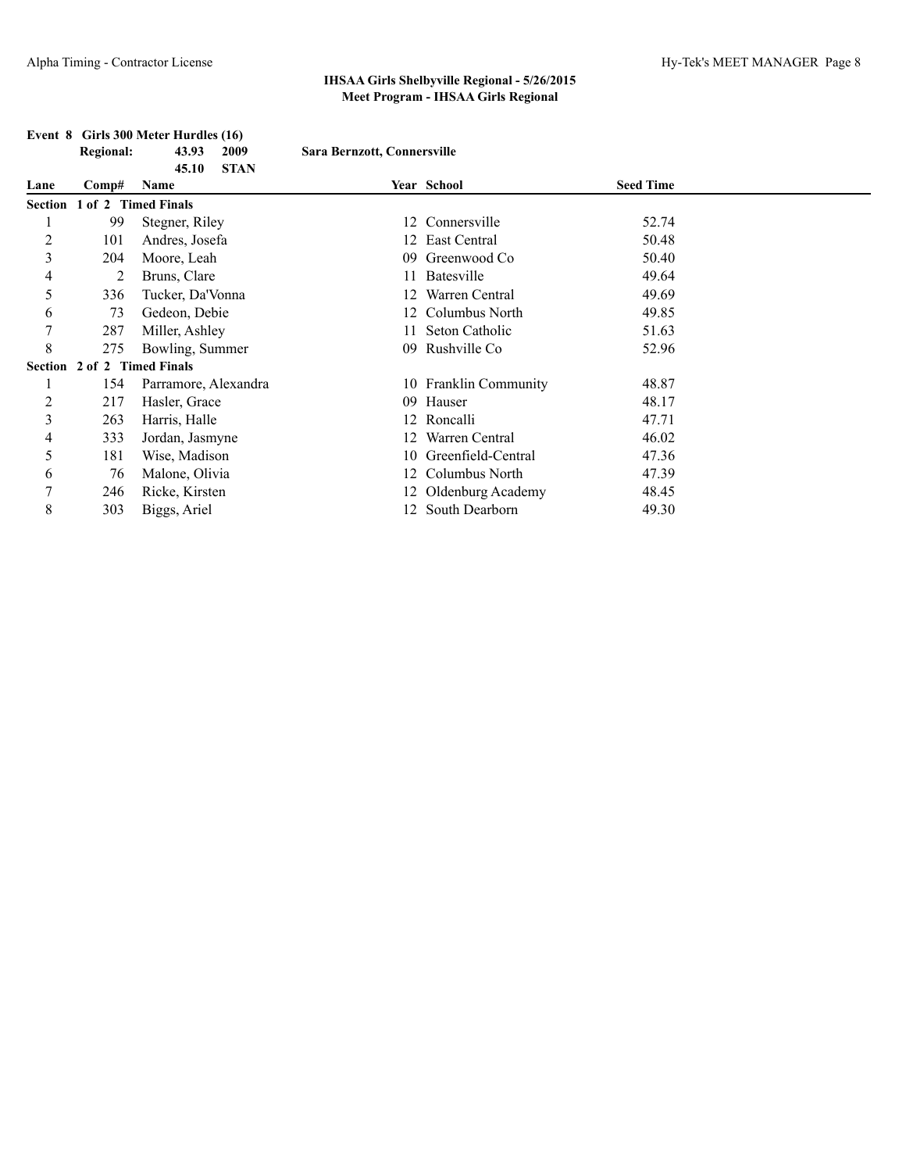#### **Event 8 Girls 300 Meter Hurdles (16)**

|      | <b>Regional:</b> | 43.93 | 2009       | Sara Bernzott, Connersville |                  |
|------|------------------|-------|------------|-----------------------------|------------------|
|      |                  |       | 45.10 STAN |                             |                  |
| Lane | Comp# Name       |       |            | <b>Year School</b>          | <b>Seed Time</b> |

| <b>Lane</b> | $\mathbf{C}$ omp#           | <b>Name</b>          |     | rear School           | эееа типе |  |
|-------------|-----------------------------|----------------------|-----|-----------------------|-----------|--|
|             | Section 1 of 2 Timed Finals |                      |     |                       |           |  |
|             | 99                          | Stegner, Riley       |     | 12 Connersville       | 52.74     |  |
| 2           | 101                         | Andres, Josefa       |     | 12 East Central       | 50.48     |  |
| 3           | 204                         | Moore, Leah          | 09. | Greenwood Co          | 50.40     |  |
| 4           | 2                           | Bruns, Clare         | 11  | Batesville            | 49.64     |  |
| 5           | 336                         | Tucker, Da'Vonna     | 12. | Warren Central        | 49.69     |  |
| 6           | 73                          | Gedeon, Debie        |     | 12 Columbus North     | 49.85     |  |
| 7           | 287                         | Miller, Ashley       | 11. | Seton Catholic        | 51.63     |  |
| 8           | 275                         | Bowling, Summer      | 09. | Rushville Co          | 52.96     |  |
|             | Section 2 of 2 Timed Finals |                      |     |                       |           |  |
|             | 154                         | Parramore, Alexandra |     | 10 Franklin Community | 48.87     |  |
| 2           | 217                         | Hasler, Grace        | 09. | Hauser                | 48.17     |  |
| 3           | 263                         | Harris, Halle        |     | 12 Roncalli           | 47.71     |  |
| 4           | 333                         | Jordan, Jasmyne      | 12. | Warren Central        | 46.02     |  |
| 5           | 181                         | Wise, Madison        |     | 10 Greenfield-Central | 47.36     |  |
| 6           | 76                          | Malone, Olivia       |     | 12 Columbus North     | 47.39     |  |
| 7           | 246                         | Ricke, Kirsten       |     | 12 Oldenburg Academy  | 48.45     |  |
| 8           | 303                         | Biggs, Ariel         | 12. | South Dearborn        | 49.30     |  |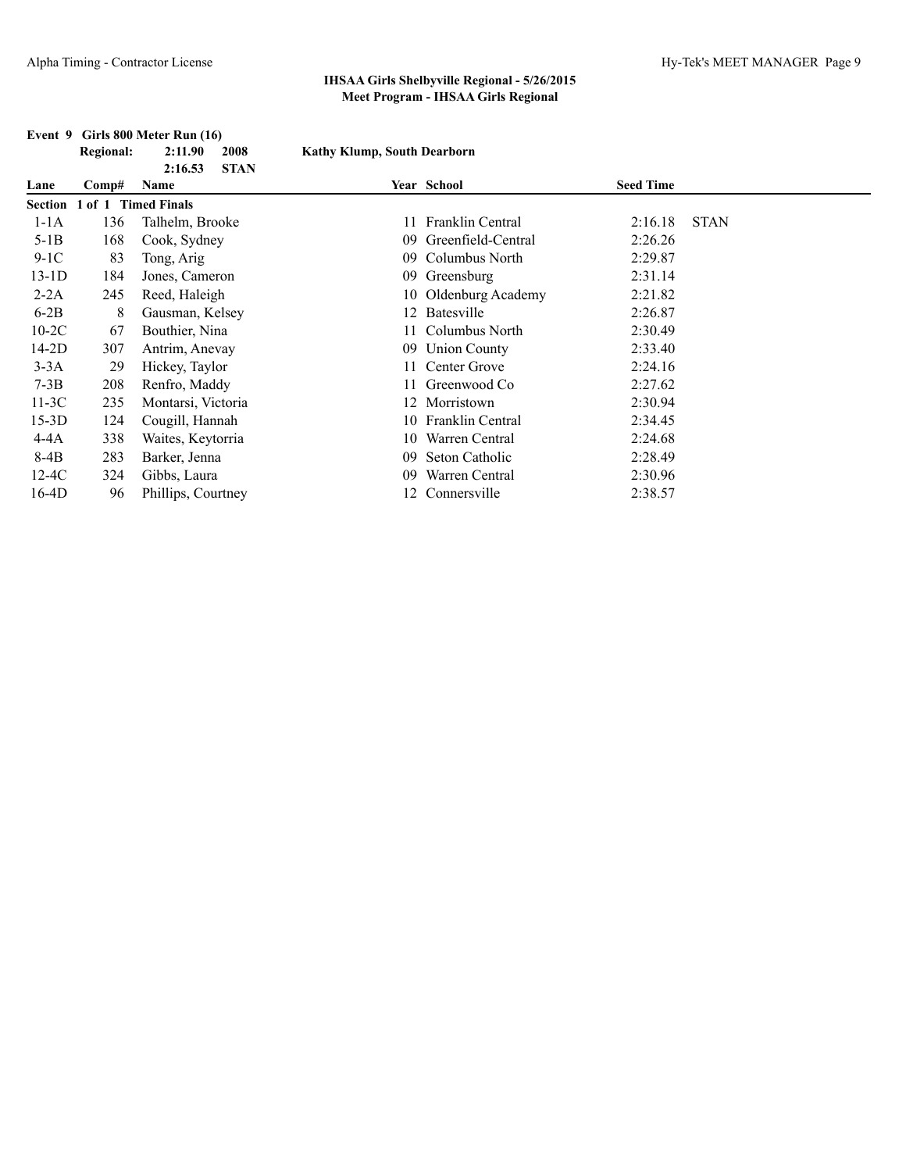|         | <b>Regional:</b> | 2:11.90<br>2008                | <b>Kathy Klump, South Dearborn</b> |                         |                  |             |
|---------|------------------|--------------------------------|------------------------------------|-------------------------|------------------|-------------|
| Lane    | Comp#            | 2:16.53<br><b>STAN</b><br>Name |                                    | Year School             | <b>Seed Time</b> |             |
| Section | 1 of 1           | <b>Timed Finals</b>            |                                    |                         |                  |             |
| $1-1A$  | 136              | Talhelm, Brooke                | 11                                 | Franklin Central        | 2:16.18          | <b>STAN</b> |
| $5-1B$  | 168              | Cook, Sydney                   | 09                                 | Greenfield-Central      | 2:26.26          |             |
| $9-1C$  | 83               | Tong, Arig                     | 09                                 | Columbus North          | 2:29.87          |             |
| $13-1D$ | 184              | Jones, Cameron                 | 09                                 | Greensburg              | 2:31.14          |             |
| $2-2A$  | 245              | Reed, Haleigh                  | 10                                 | Oldenburg Academy       | 2:21.82          |             |
| $6-2B$  | 8                | Gausman, Kelsey                | 12                                 | Batesville              | 2:26.87          |             |
| $10-2C$ | 67               | Bouthier, Nina                 | 11.                                | Columbus North          | 2:30.49          |             |
| $14-2D$ | 307              | Antrim, Anevay                 | 09                                 | <b>Union County</b>     | 2:33.40          |             |
| $3-3A$  | 29               | Hickey, Taylor                 | 11                                 | Center Grove            | 2:24.16          |             |
| $7-3B$  | 208              | Renfro, Maddy                  | 11                                 | Greenwood Co            | 2:27.62          |             |
| $11-3C$ | 235              | Montarsi, Victoria             | 12                                 | Morristown              | 2:30.94          |             |
| $15-3D$ | 124              | Cougill, Hannah                | 10                                 | <b>Franklin Central</b> | 2:34.45          |             |
| 4-4A    | 338              | Waites, Keytorria              | 10                                 | Warren Central          | 2:24.68          |             |
| 8-4B    | 283              | Barker, Jenna                  | 09                                 | Seton Catholic          | 2:28.49          |             |
| $12-4C$ | 324              | Gibbs, Laura                   | 09                                 | Warren Central          | 2:30.96          |             |
| $16-4D$ | 96               | Phillips, Courtney             |                                    | 12 Connersville         | 2:38.57          |             |

## **Event 9 Girls 800 Meter Run (16)**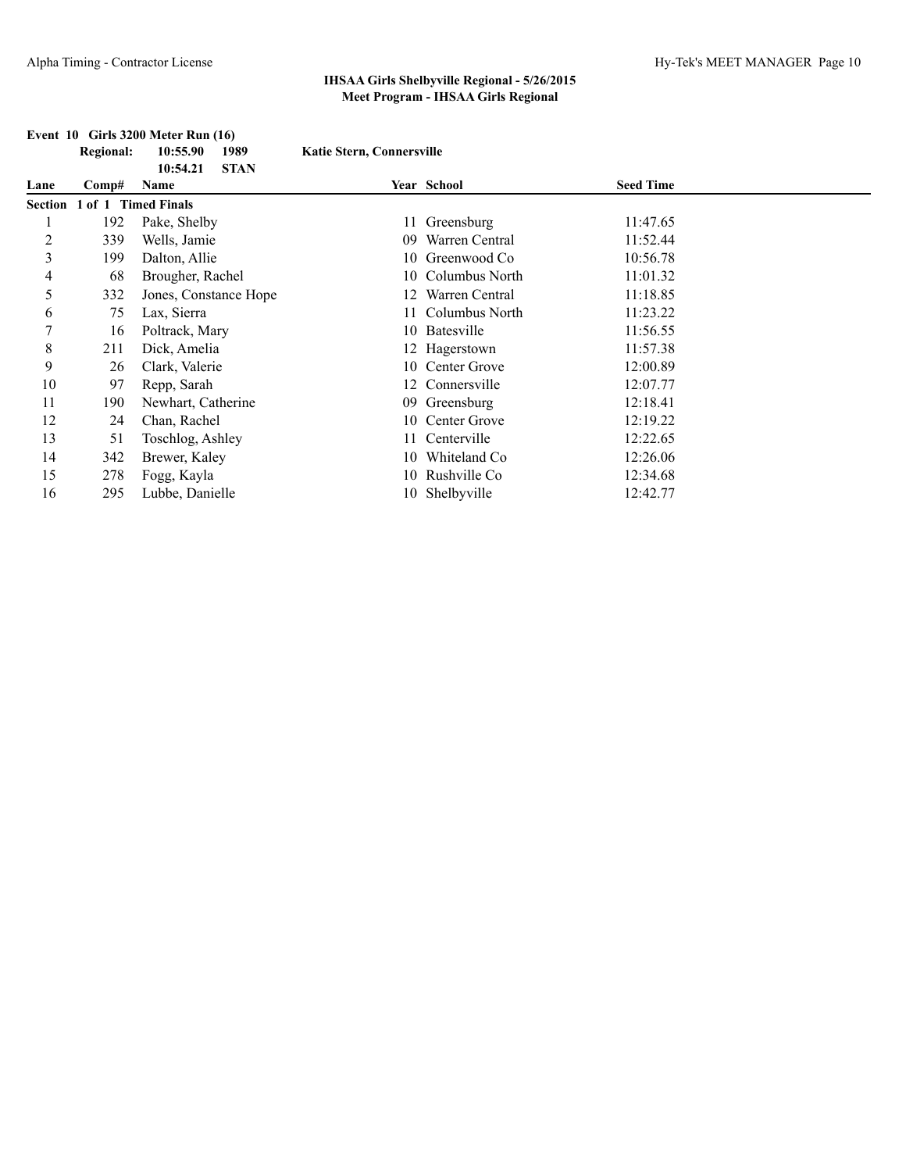## **Event 10 Girls 3200 Meter Run (16)**

|         | <b>Regional:</b> | 10:55.90<br>1989<br><b>STAN</b><br>10:54.21 | <b>Katie Stern, Connersville</b> |                   |                  |
|---------|------------------|---------------------------------------------|----------------------------------|-------------------|------------------|
| Lane    | Comp#            | Name                                        |                                  | Year School       | <b>Seed Time</b> |
| Section | 1 of 1           | <b>Timed Finals</b>                         |                                  |                   |                  |
|         | 192              | Pake, Shelby                                | 11                               | Greensburg        | 11:47.65         |
| 2       | 339              | Wells, Jamie                                | 09                               | Warren Central    | 11:52.44         |
| 3       | 199              | Dalton, Allie                               | 10                               | Greenwood Co      | 10:56.78         |
| 4       | 68               | Brougher, Rachel                            | 10                               | Columbus North    | 11:01.32         |
| 5       | 332              | Jones, Constance Hope                       |                                  | Warren Central    | 11:18.85         |
| 6       | 75               | Lax, Sierra                                 |                                  | Columbus North    | 11:23.22         |
| 7       | 16               | Poltrack, Mary                              | 10                               | <b>Batesville</b> | 11:56.55         |
| 8       | 211              | Dick, Amelia                                |                                  | 12 Hagerstown     | 11:57.38         |
| 9       | 26               | Clark, Valerie                              |                                  | 10 Center Grove   | 12:00.89         |
| 10      | 97               | Repp, Sarah                                 |                                  | 12 Connersville   | 12:07.77         |
| 11      | 190              | Newhart, Catherine                          |                                  | 09 Greensburg     | 12:18.41         |
| 12      | 24               | Chan, Rachel                                | 10                               | Center Grove      | 12:19.22         |
| 13      | 51               | Toschlog, Ashley                            | 11                               | Centerville       | 12:22.65         |
| 14      | 342              | Brewer, Kaley                               | 10                               | Whiteland Co      | 12:26.06         |
| 15      | 278              | Fogg, Kayla                                 | 10                               | Rushville Co      | 12:34.68         |
| 16      | 295              | Lubbe, Danielle                             | 10                               | Shelbyville       | 12:42.77         |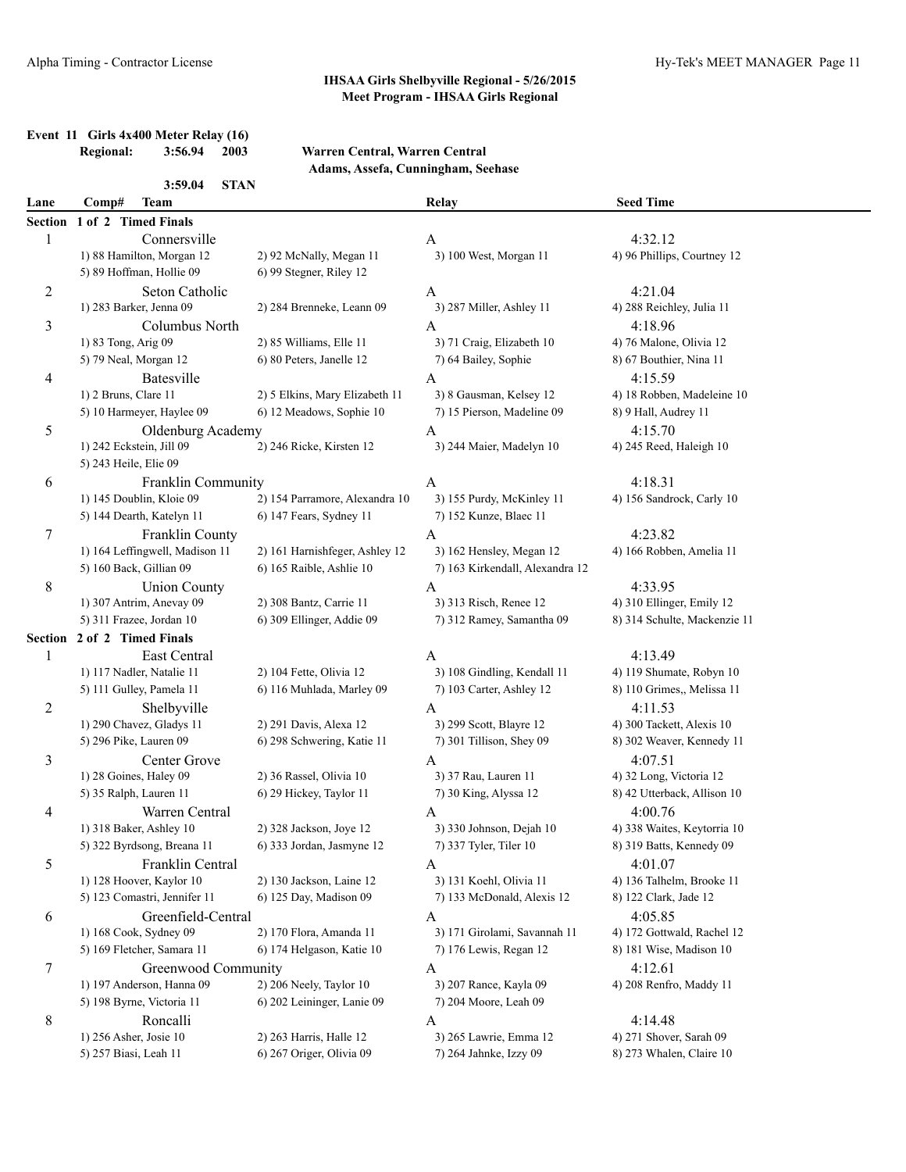## **Event 11 Girls 4x400 Meter Relay (16)**<br>Regional: 3:56.94 2003

#### **Regional: 3:56.94 2003 Warren Central, Warren Central Adams, Assefa, Cunningham, Seehase**

|                | 3:59.04                        | <b>STAN</b>                    |                                 |                              |  |
|----------------|--------------------------------|--------------------------------|---------------------------------|------------------------------|--|
| Lane           | Comp#<br><b>Team</b>           |                                | Relay                           | <b>Seed Time</b>             |  |
| Section        | 1 of 2 Timed Finals            |                                |                                 |                              |  |
| 1              | Connersville                   |                                | A                               | 4:32.12                      |  |
|                | 1) 88 Hamilton, Morgan 12      | 2) 92 McNally, Megan 11        | 3) 100 West, Morgan 11          | 4) 96 Phillips, Courtney 12  |  |
|                | 5) 89 Hoffman, Hollie 09       | 6) 99 Stegner, Riley 12        |                                 |                              |  |
| $\overline{c}$ | Seton Catholic                 |                                | A                               | 4:21.04                      |  |
|                | 1) 283 Barker, Jenna 09        | 2) 284 Brenneke, Leann 09      | 3) 287 Miller, Ashley 11        | 4) 288 Reichley, Julia 11    |  |
| 3              | Columbus North                 |                                | $\mathbf{A}$                    | 4:18.96                      |  |
|                | 1) 83 Tong, Arig 09            | 2) 85 Williams, Elle 11        | 3) 71 Craig, Elizabeth 10       | 4) 76 Malone, Olivia 12      |  |
|                | 5) 79 Neal, Morgan 12          | 6) 80 Peters, Janelle 12       | 7) 64 Bailey, Sophie            | 8) 67 Bouthier, Nina 11      |  |
| 4              | Batesville                     |                                | $\mathbf{A}$                    | 4:15.59                      |  |
|                | 1) 2 Bruns, Clare 11           | 2) 5 Elkins, Mary Elizabeth 11 | 3) 8 Gausman, Kelsey 12         | 4) 18 Robben, Madeleine 10   |  |
|                | 5) 10 Harmeyer, Haylee 09      | 6) 12 Meadows, Sophie 10       | 7) 15 Pierson, Madeline 09      | 8) 9 Hall, Audrey 11         |  |
| 5              | Oldenburg Academy              |                                | $\mathbf{A}$                    | 4:15.70                      |  |
|                | 1) 242 Eckstein, Jill 09       | 2) 246 Ricke, Kirsten 12       | 3) 244 Maier, Madelyn 10        | 4) 245 Reed, Haleigh 10      |  |
|                | 5) 243 Heile, Elie 09          |                                |                                 |                              |  |
| 6              | Franklin Community             |                                | A                               | 4:18.31                      |  |
|                | 1) 145 Doublin, Kloie 09       | 2) 154 Parramore, Alexandra 10 | 3) 155 Purdy, McKinley 11       | 4) 156 Sandrock, Carly 10    |  |
|                | 5) 144 Dearth, Katelyn 11      | 6) 147 Fears, Sydney 11        | 7) 152 Kunze, Blaec 11          |                              |  |
| 7              | Franklin County                |                                | A                               | 4:23.82                      |  |
|                | 1) 164 Leffingwell, Madison 11 | 2) 161 Harnishfeger, Ashley 12 | 3) 162 Hensley, Megan 12        | 4) 166 Robben, Amelia 11     |  |
|                | 5) 160 Back, Gillian 09        | 6) 165 Raible, Ashlie 10       | 7) 163 Kirkendall, Alexandra 12 |                              |  |
| 8              | <b>Union County</b>            |                                | A                               | 4:33.95                      |  |
|                | 1) 307 Antrim, Anevay 09       | 2) 308 Bantz, Carrie 11        | 3) 313 Risch, Renee 12          | 4) 310 Ellinger, Emily 12    |  |
|                | 5) 311 Frazee, Jordan 10       | 6) 309 Ellinger, Addie 09      | 7) 312 Ramey, Samantha 09       | 8) 314 Schulte, Mackenzie 11 |  |
| Section        | 2 of 2 Timed Finals            |                                |                                 |                              |  |
| 1              | East Central                   |                                | A                               | 4:13.49                      |  |
|                | 1) 117 Nadler, Natalie 11      | 2) 104 Fette, Olivia 12        | 3) 108 Gindling, Kendall 11     | 4) 119 Shumate, Robyn 10     |  |
|                | 5) 111 Gulley, Pamela 11       | 6) 116 Muhlada, Marley 09      | 7) 103 Carter, Ashley 12        | 8) 110 Grimes,, Melissa 11   |  |
| $\overline{c}$ | Shelbyville                    |                                | A                               | 4:11.53                      |  |
|                | 1) 290 Chavez, Gladys 11       | 2) 291 Davis, Alexa 12         | 3) 299 Scott, Blayre 12         | 4) 300 Tackett, Alexis 10    |  |
|                | 5) 296 Pike, Lauren 09         | 6) 298 Schwering, Katie 11     | 7) 301 Tillison, Shey 09        | 8) 302 Weaver, Kennedy 11    |  |
| 3              | Center Grove                   |                                | A                               | 4:07.51                      |  |
|                | 1) 28 Goines, Haley 09         | 2) 36 Rassel, Olivia 10        | 3) 37 Rau, Lauren 11            | 4) 32 Long, Victoria 12      |  |
|                | 5) 35 Ralph, Lauren 11         | 6) 29 Hickey, Taylor 11        | 7) 30 King, Alyssa 12           | 8) 42 Utterback, Allison 10  |  |
| 4              | Warren Central                 |                                | A                               | 4:00.76                      |  |
|                | 1) 318 Baker, Ashley 10        | 2) 328 Jackson, Joye 12        | 3) 330 Johnson, Dejah 10        | 4) 338 Waites, Keytorria 10  |  |
|                | 5) 322 Byrdsong, Breana 11     | 6) 333 Jordan, Jasmyne 12      | 7) 337 Tyler, Tiler 10          | 8) 319 Batts, Kennedy 09     |  |
| 5              | Franklin Central               |                                | A                               | 4:01.07                      |  |
|                | 1) 128 Hoover, Kaylor 10       | 2) 130 Jackson, Laine 12       | 3) 131 Koehl, Olivia 11         | 4) 136 Talhelm, Brooke 11    |  |
|                | 5) 123 Comastri, Jennifer 11   | 6) 125 Day, Madison 09         | 7) 133 McDonald, Alexis 12      | 8) 122 Clark, Jade 12        |  |
| 6              | Greenfield-Central             |                                | A                               | 4:05.85                      |  |
|                | 1) 168 Cook, Sydney 09         | 2) 170 Flora, Amanda 11        | 3) 171 Girolami, Savannah 11    | 4) 172 Gottwald, Rachel 12   |  |
|                | 5) 169 Fletcher, Samara 11     | 6) 174 Helgason, Katie 10      | 7) 176 Lewis, Regan 12          | 8) 181 Wise, Madison 10      |  |
| 7              | Greenwood Community            |                                | A                               | 4:12.61                      |  |
|                | 1) 197 Anderson, Hanna 09      | 2) 206 Neely, Taylor 10        | 3) 207 Rance, Kayla 09          | 4) 208 Renfro, Maddy 11      |  |
|                | 5) 198 Byrne, Victoria 11      | 6) 202 Leininger, Lanie 09     | 7) 204 Moore, Leah 09           |                              |  |
| 8              | Roncalli                       |                                | A                               | 4:14.48                      |  |
|                | 1) 256 Asher, Josie 10         | 2) 263 Harris, Halle 12        | 3) 265 Lawrie, Emma 12          | 4) 271 Shover, Sarah 09      |  |
|                | 5) 257 Biasi, Leah 11          | 6) 267 Origer, Olivia 09       | 7) 264 Jahnke, Izzy 09          | 8) 273 Whalen, Claire 10     |  |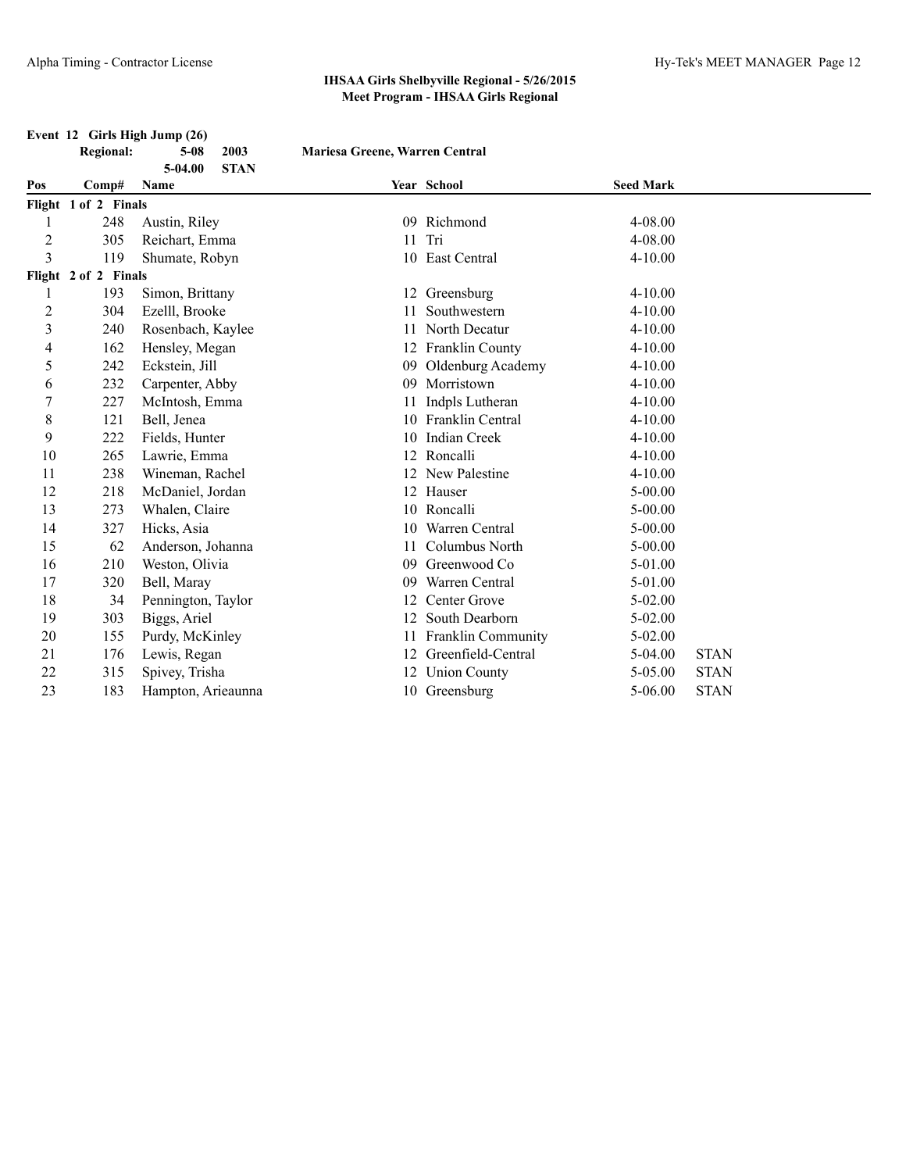#### **Event 12 Girls High Jump (26)**

| <b>Regional:</b> | 5-08    | 2003        |
|------------------|---------|-------------|
|                  | 5-04.00 | <b>STAN</b> |

**Regional: 5-08 2003 Mariesa Greene, Warren Central**

| Pos            | Comp#                | Year School<br>Name |    |                         | <b>Seed Mark</b> |             |  |  |  |
|----------------|----------------------|---------------------|----|-------------------------|------------------|-------------|--|--|--|
|                | Flight 1 of 2 Finals |                     |    |                         |                  |             |  |  |  |
|                | 248                  | Austin, Riley       | 09 | Richmond                | 4-08.00          |             |  |  |  |
| $\overline{c}$ | 305                  | Reichart, Emma      | 11 | Tri                     | 4-08.00          |             |  |  |  |
| $\overline{3}$ | 119                  | Shumate, Robyn      | 10 | East Central            | $4 - 10.00$      |             |  |  |  |
|                | Flight 2 of 2 Finals |                     |    |                         |                  |             |  |  |  |
|                | 193                  | Simon, Brittany     |    | 12 Greensburg           | 4-10.00          |             |  |  |  |
| $\overline{2}$ | 304                  | Ezelll, Brooke      |    | Southwestern            | $4 - 10.00$      |             |  |  |  |
| $\mathfrak{Z}$ | 240                  | Rosenbach, Kaylee   |    | North Decatur           | $4 - 10.00$      |             |  |  |  |
| 4              | 162                  | Hensley, Megan      | 12 | Franklin County         | $4 - 10.00$      |             |  |  |  |
| 5              | 242                  | Eckstein, Jill      | 09 | Oldenburg Academy       | $4 - 10.00$      |             |  |  |  |
| 6              | 232                  | Carpenter, Abby     | 09 | Morristown              | $4 - 10.00$      |             |  |  |  |
| $\overline{7}$ | 227                  | McIntosh, Emma      |    | Indpls Lutheran         | $4 - 10.00$      |             |  |  |  |
| $\,$ 8 $\,$    | 121                  | Bell, Jenea         |    | <b>Franklin Central</b> | $4 - 10.00$      |             |  |  |  |
| 9              | 222                  | Fields, Hunter      | 10 | <b>Indian Creek</b>     | $4 - 10.00$      |             |  |  |  |
| 10             | 265                  | Lawrie, Emma        |    | Roncalli                | $4 - 10.00$      |             |  |  |  |
| 11             | 238                  | Wineman, Rachel     |    | New Palestine           | $4 - 10.00$      |             |  |  |  |
| 12             | 218                  | McDaniel, Jordan    |    | 12 Hauser               | $5 - 00.00$      |             |  |  |  |
| 13             | 273                  | Whalen, Claire      | 10 | Roncalli                | 5-00.00          |             |  |  |  |
| 14             | 327                  | Hicks, Asia         | 10 | Warren Central          | $5 - 00.00$      |             |  |  |  |
| 15             | 62                   | Anderson, Johanna   |    | Columbus North          | $5 - 00.00$      |             |  |  |  |
| 16             | 210                  | Weston, Olivia      | 09 | Greenwood Co            | 5-01.00          |             |  |  |  |
| 17             | 320                  | Bell, Maray         | 09 | Warren Central          | 5-01.00          |             |  |  |  |
| 18             | 34                   | Pennington, Taylor  |    | Center Grove            | 5-02.00          |             |  |  |  |
| 19             | 303                  | Biggs, Ariel        | 12 | South Dearborn          | $5 - 02.00$      |             |  |  |  |
| 20             | 155                  | Purdy, McKinley     |    | Franklin Community      | $5 - 02.00$      |             |  |  |  |
| 21             | 176                  | Lewis, Regan        | 12 | Greenfield-Central      | $5-04.00$        | <b>STAN</b> |  |  |  |
| 22             | 315                  | Spivey, Trisha      |    | <b>Union County</b>     | 5-05.00          | <b>STAN</b> |  |  |  |
| 23             | 183                  | Hampton, Arieaunna  |    | 10 Greensburg           | $5 - 06.00$      | <b>STAN</b> |  |  |  |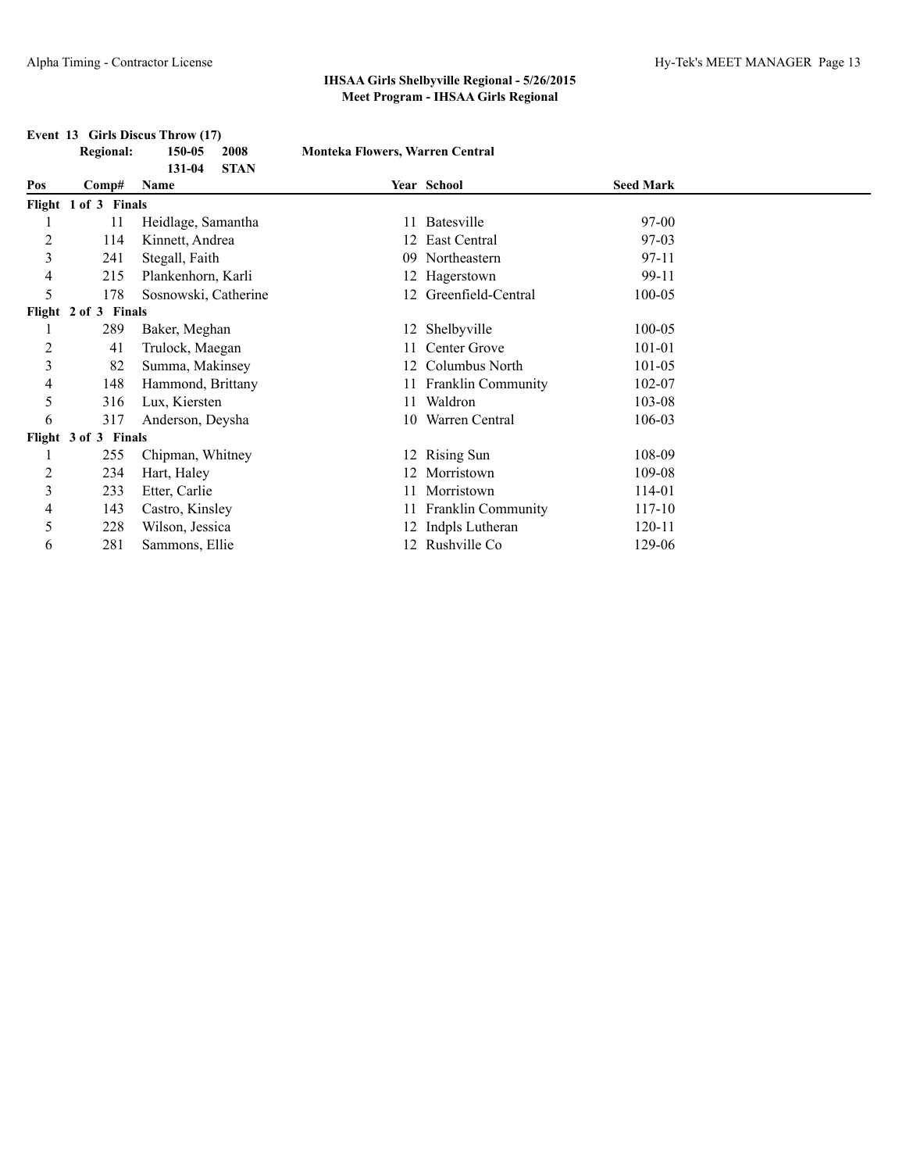**Event 13 Girls Discus Throw (17)**

#### **IHSAA Girls Shelbyville Regional - 5/26/2015 Meet Program - IHSAA Girls Regional**

#### **Regional: 150-05 2008 Monteka Flowers, Warren Central 131-04 STAN Pos Comp# Name Year School Seed Mark Flight 1 of 3 Finals** 1 11 Heidlage, Samantha 11 Batesville 97-00 2 114 Kinnett, Andrea 12 East Central 97-03 3 241 Stegall, Faith 09 Northeastern 97-11 4 215 Plankenhorn, Karli 12 Hagerstown 99-11 5 178 Sosnowski, Catherine 12 Greenfield-Central 100-05 **Flight 2 of 3 Finals** 1 289 Baker, Meghan 12 Shelbyville 100-05 2 41 Trulock, Maegan 11 Center Grove 101-01 3 82 Summa, Makinsey 12 Columbus North 101-05 4 148 Hammond, Brittany 11 Franklin Community 102-07 5 316 Lux, Kiersten 11 Waldron 103-08 6 317 Anderson, Deysha 10 Warren Central 106-03 **Flight 3 of 3 Finals** 1 255 Chipman, Whitney 12 Rising Sun 108-09 2 234 Hart, Haley 12 Morristown 109-08 3 233 Etter, Carlie 11 Morristown 114-01 4 143 Castro, Kinsley 11 Franklin Community 117-10 5 228 Wilson, Jessica 12 Indpls Lutheran 120-11 6 281 Sammons, Ellie 12 Rushville Co 129-06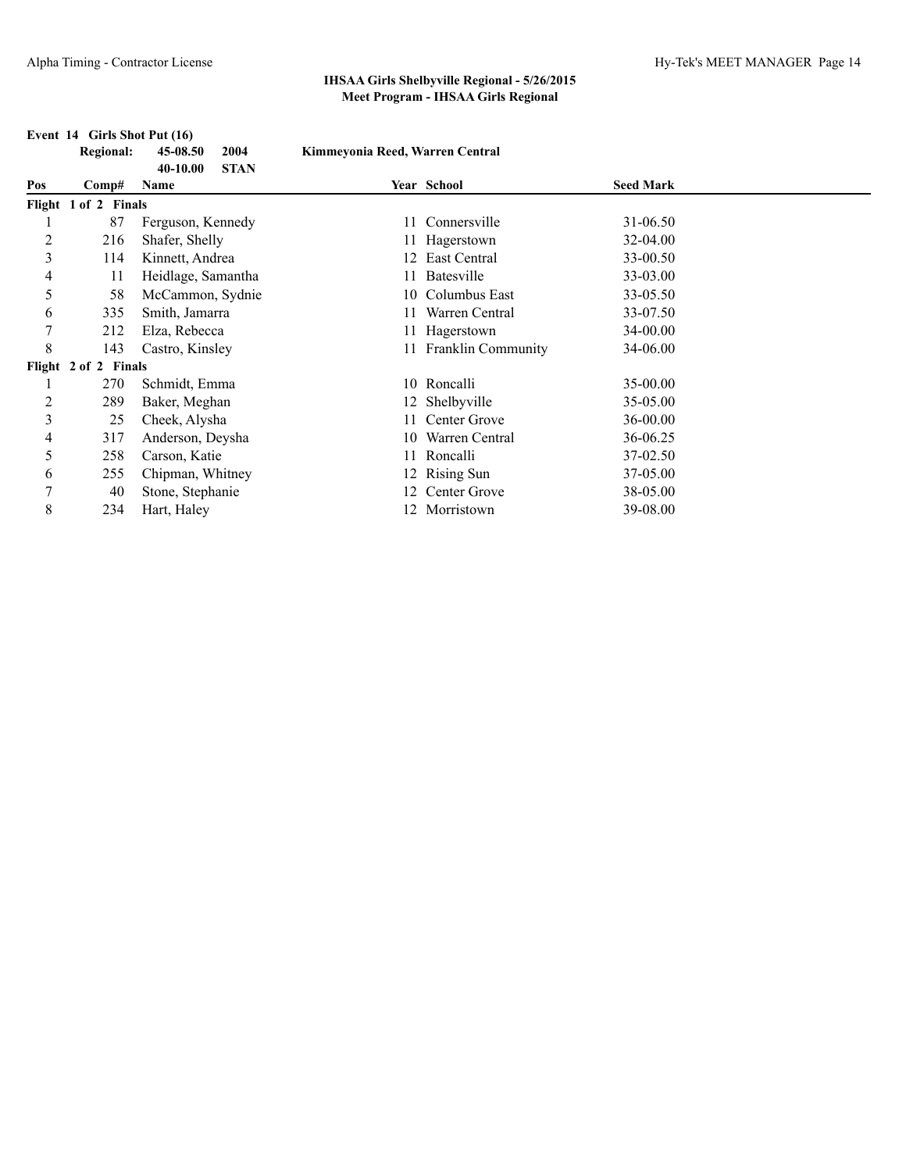|     | <b>Regional:</b>     | 45-08.50<br>2004<br>40-10.00<br><b>STAN</b> | Kimmeyonia Reed, Warren Central |                       |                  |  |
|-----|----------------------|---------------------------------------------|---------------------------------|-----------------------|------------------|--|
| Pos | $\bf Comp#$          | <b>Name</b>                                 |                                 | Year School           | <b>Seed Mark</b> |  |
|     | Flight 1 of 2 Finals |                                             |                                 |                       |                  |  |
|     | 87                   | Ferguson, Kennedy                           |                                 | 11 Connersville       | 31-06.50         |  |
| 2   | 216                  | Shafer, Shelly                              |                                 | 11 Hagerstown         | 32-04.00         |  |
| 3   | 114                  | Kinnett, Andrea                             |                                 | East Central          | 33-00.50         |  |
| 4   | 11                   | Heidlage, Samantha                          |                                 | Batesville            | 33-03.00         |  |
| 5   | 58                   | McCammon, Sydnie                            |                                 | 10 Columbus East      | 33-05.50         |  |
| 6   | 335                  | Smith, Jamarra                              |                                 | Warren Central        | 33-07.50         |  |
| 7   | 212                  | Elza, Rebecca                               |                                 | 11 Hagerstown         | 34-00.00         |  |
| 8   | 143                  | Castro, Kinsley                             |                                 | 11 Franklin Community | 34-06.00         |  |
|     | Flight 2 of 2 Finals |                                             |                                 |                       |                  |  |
|     | 270                  | Schmidt, Emma                               |                                 | 10 Roncalli           | 35-00.00         |  |
| 2   | 289                  | Baker, Meghan                               |                                 | 12 Shelbyville        | 35-05.00         |  |
| 3   | 25                   | Cheek, Alysha                               |                                 | 11 Center Grove       | 36-00.00         |  |
| 4   | 317                  | Anderson, Deysha                            |                                 | 10 Warren Central     | 36-06.25         |  |
| 5   | 258                  | Carson, Katie                               |                                 | 11 Roncalli           | 37-02.50         |  |
| 6   | 255                  | Chipman, Whitney                            |                                 | 12 Rising Sun         | 37-05.00         |  |
| 7   | 40                   | Stone, Stephanie                            | 12.                             | Center Grove          | 38-05.00         |  |
| 8   | 234                  | Hart, Haley                                 |                                 | 12 Morristown         | 39-08.00         |  |

#### **Event 14 Girls Shot Put (16)**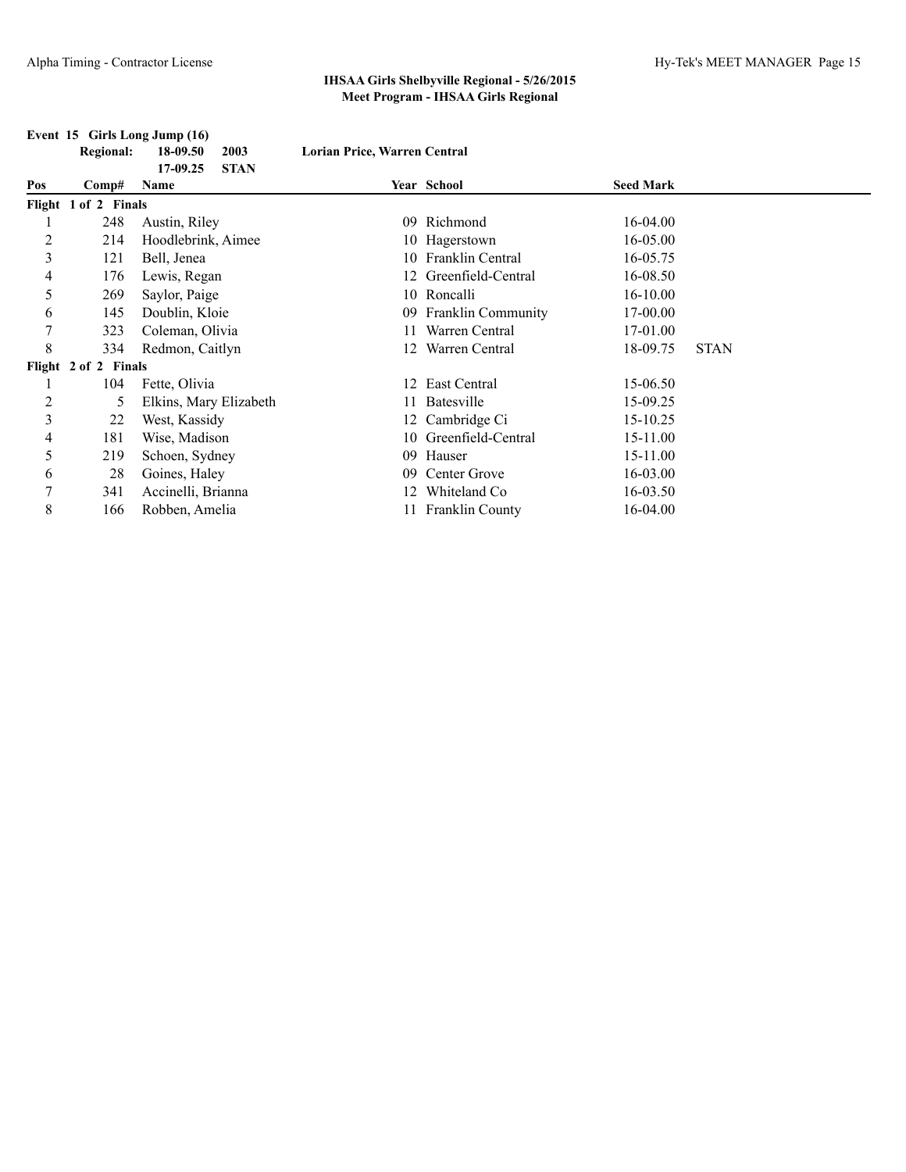|                | <b>Regional:</b>                    | 18-09.50               | 2003        | Lorian Price, Warren Central |                       |                  |             |  |
|----------------|-------------------------------------|------------------------|-------------|------------------------------|-----------------------|------------------|-------------|--|
| Pos            |                                     | 17-09.25<br>Name       | <b>STAN</b> |                              | Year School           | <b>Seed Mark</b> |             |  |
|                | $\bf Comp#$<br>Flight 1 of 2 Finals |                        |             |                              |                       |                  |             |  |
|                | 248                                 | Austin, Riley          |             | 09.                          | Richmond              | 16-04.00         |             |  |
| $\overline{c}$ | 214                                 | Hoodlebrink, Aimee     |             |                              | 10 Hagerstown         | 16-05.00         |             |  |
| 3              | 121                                 | Bell, Jenea            |             |                              | 10 Franklin Central   | 16-05.75         |             |  |
| 4              | 176                                 | Lewis, Regan           |             |                              | 12 Greenfield-Central | 16-08.50         |             |  |
| 5              | 269                                 | Saylor, Paige          |             |                              | 10 Roncalli           | $16 - 10.00$     |             |  |
| 6              | 145                                 | Doublin, Kloie         |             |                              | 09 Franklin Community | 17-00.00         |             |  |
| 7              | 323                                 | Coleman, Olivia        |             |                              | Warren Central        | 17-01.00         |             |  |
| 8              | 334                                 | Redmon, Caitlyn        |             |                              | Warren Central        | 18-09.75         | <b>STAN</b> |  |
|                | Flight 2 of 2 Finals                |                        |             |                              |                       |                  |             |  |
|                | 104                                 | Fette, Olivia          |             |                              | 12 East Central       | 15-06.50         |             |  |
| $\overline{c}$ | 5                                   | Elkins, Mary Elizabeth |             |                              | Batesville            | 15-09.25         |             |  |
| 3              | 22                                  | West, Kassidy          |             |                              | 12 Cambridge Ci       | 15-10.25         |             |  |
| 4              | 181                                 | Wise, Madison          |             |                              | 10 Greenfield-Central | 15-11.00         |             |  |
| 5              | 219                                 | Schoen, Sydney         |             | 09.                          | Hauser                | 15-11.00         |             |  |
| 6              | 28                                  | Goines, Haley          |             | 09                           | Center Grove          | 16-03.00         |             |  |
| 7              | 341                                 | Accinelli, Brianna     |             | 12.                          | Whiteland Co.         | 16-03.50         |             |  |
| 8              | 166                                 | Robben, Amelia         |             |                              | 11 Franklin County    | 16-04.00         |             |  |

#### **Event 15 Girls Long Jump (16)**